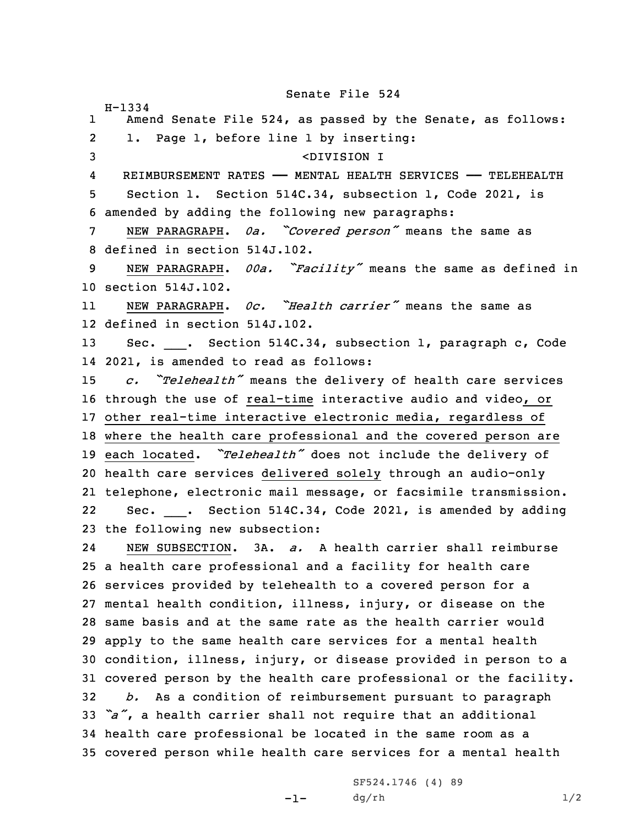Senate File 524

H-1334

1 Amend Senate File 524, as passed by the Senate, as follows: 2 1. Page 1, before line 1 by inserting: <DIVISION I 4 REIMBURSEMENT RATES —— MENTAL HEALTH SERVICES —— TELEHEALTH Section 1. Section 514C.34, subsection 1, Code 2021, is amended by adding the following new paragraphs: NEW PARAGRAPH. *0a. "Covered person"* means the same as defined in section 514J.102. NEW PARAGRAPH. *00a. "Facility"* means the same as defined in section 514J.102. 11 NEW PARAGRAPH. *0c. "Health carrier"* means the same as defined in section 514J.102. 13 Sec. \_\_\_. Section 514C.34, subsection 1, paragraph c, Code 2021, is amended to read as follows: *c. "Telehealth"* means the delivery of health care services through the use of real-time interactive audio and video, or other real-time interactive electronic media, regardless of where the health care professional and the covered person are each located. *"Telehealth"* does not include the delivery of health care services delivered solely through an audio-only telephone, electronic mail message, or facsimile transmission. 2222 Sec. \_\_\_. Section 514C.34, Code 2021, is amended by adding the following new subsection: 24 NEW SUBSECTION. 3A. *a.* A health carrier shall reimburse <sup>a</sup> health care professional and <sup>a</sup> facility for health care services provided by telehealth to <sup>a</sup> covered person for <sup>a</sup> mental health condition, illness, injury, or disease on the same basis and at the same rate as the health carrier would apply to the same health care services for <sup>a</sup> mental health condition, illness, injury, or disease provided in person to <sup>a</sup> covered person by the health care professional or the facility. *b.* As <sup>a</sup> condition of reimbursement pursuant to paragraph *"a"*, <sup>a</sup> health carrier shall not require that an additional health care professional be located in the same room as <sup>a</sup> covered person while health care services for <sup>a</sup> mental health

> SF524.1746 (4) 89  $dg/rh$  1/2

 $-1-$